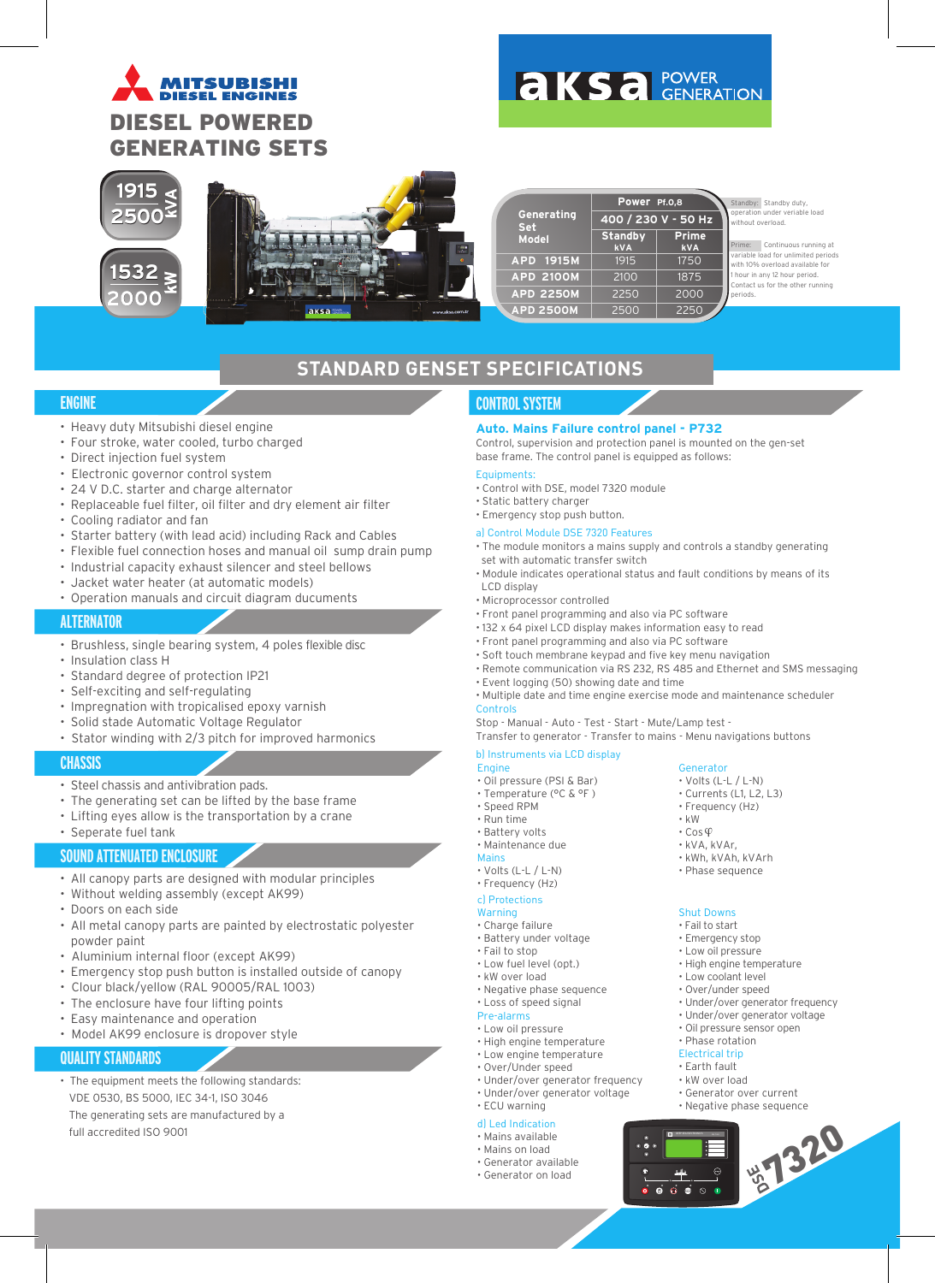# **MITSURISHI DIESEL ENGINES** DIESEL POWERED GENERATING SETS

# **AKSA POWER**





|                          | Power Pf.0,8                 |                            |  |  |  |
|--------------------------|------------------------------|----------------------------|--|--|--|
| Generating<br><b>Set</b> | 400 / 230 V - 50 Hz          |                            |  |  |  |
| <b>Model</b>             | <b>Standby</b><br><b>kVA</b> | <b>Prime</b><br><b>kVA</b> |  |  |  |
| APD 1915M                | 1915                         | 1750                       |  |  |  |
| <b>APD 2100M</b>         | 2100                         | 1875                       |  |  |  |
| <b>APD 2250M</b>         | 2250                         | 2000                       |  |  |  |
| <b>APD 2500M</b>         | 2500                         | 2250                       |  |  |  |

Standby: Standby duty operation under veriable load out overload.

Continuous running at **valuation** unlimited periods th 10% overload available for hour in any 12 hour period. ontact us for the other running periods.

# **STANDARD GENSET SPECIFICATIONS**

# **ENGINE**

- Heavy duty Mitsubishi diesel engine
- Four stroke, water cooled, turbo charged
- Direct injection fuel system
- Electronic governor control system
- 24 V D.C. starter and charge alternator
- Replaceable fuel filter, oil filter and dry element air filter
- Cooling radiator and fan
- Starter battery (with lead acid) including Rack and Cables
- Flexible fuel connection hoses and manual oil sump drain pump
- Industrial capacity exhaust silencer and steel bellows
- Jacket water heater (at automatic models)
- Operation manuals and circuit diagram ducuments

# **ALTERNATOR**

- Brushless, single bearing system, 4 poles flexible disc
- Insulation class H
- Standard degree of protection IP21
- Self-exciting and self-regulating
- Impregnation with tropicalised epoxy varnish
- Solid stade Automatic Voltage Regulator
- Stator winding with 2/3 pitch for improved harmonics

# **CHASSIS**

- Steel chassis and antivibration pads.
- The generating set can be lifted by the base frame
- Lifting eyes allow is the transportation by a crane
- Seperate fuel tank

# **SOUND ATTENUATED ENCLOSURE**

- All canopy parts are designed with modular principles
- Without welding assembly (except AK99)
- Doors on each side
- All metal canopy parts are painted by electrostatic polyester powder paint
- Aluminium internal floor (except AK99)
- Emergency stop push button is installed outside of canopy
- Clour black/yellow (RAL 90005/RAL 1003)
- The enclosure have four lifting points
- Easy maintenance and operation
- Model AK99 enclosure is dropover style

### **QUALITY STANDARDS**

• The equipment meets the following standards: VDE 0530, BS 5000, IEC 34-1, ISO 3046 The generating sets are manufactured by a full accredited ISO 9001

# **CONTROL SYSTEM**

### **Auto. Mains Failure control panel - P732**

Control, supervision and protection panel is mounted on the gen-set base frame. The control panel is equipped as follows:

### Equipments:

- Control with DSE, model 7320 module
- Static battery charger
- Emergency stop push button.

## a) Control Module DSE 7320 Features

- The module monitors a mains supply and controls a standby generating set with automatic transfer switch
- Module indicates operational status and fault conditions by means of its LCD display
- Microprocessor controlled
- Front panel programming and also via PC software
- 132 x 64 pixel LCD display makes information easy to read
- Front panel programming and also via PC software
- Soft touch membrane keypad and five key menu navigation
- Remote communication via RS 232, RS 485 and Ethernet and SMS messaging
- Event logging (50) showing date and time

#### • Multiple date and time engine exercise mode and maintenance scheduler Controls

Stop - Manual - Auto - Test - Start - Mute/Lamp test -

Transfer to generator - Transfer to mains - Menu navigations buttons

### b) Instruments via LCD display

- Engine • Oil pressure (PSI & Bar)
- Temperature (°C & °F )
- Speed RPM
- Run time
- Battery volts
- Maintenance due

#### Mains

- Volts (L-L / L-N)
- Frequency (Hz)

#### c) Protections

# Warning

- Charge failure
- Battery under voltage
- Fail to stop • Low fuel level (opt.)
- kW over load
- Negative phase sequence
- Loss of speed signal Pre-alarms

# • Low oil pressure

- High engine temperature
- Low engine temperature
- Over/Under speed
- Under/over generator frequency
- Under/over generator voltage

#### • ECU warning d) Led Indication

• Mains available

#### • Mains on load

- Generator available
- Generator on load



Generator

• Volts (L-L / L-N) • Frequency (Hz)

• kWh, kVAh, kVArh • Phase sequence

• kW

Shut Downs • Fail to start • Emergency stop • Low oil pressure • High engine temperature • Low coolant level • Over/under speed

#### $\cdot$  Cos $\varphi$ • kVA, kVAr,

 $\overrightarrow{0}$  $\overrightarrow{0}$  $\overrightarrow{0}$  $\overrightarrow{0}$ 

**BET320** 

• Under/over generator frequency • Under/over generator voltage • Oil pressure sensor open • Phase rotation Electrical trip • Earth fault • kW over load • Generator over current • Negative phase sequence